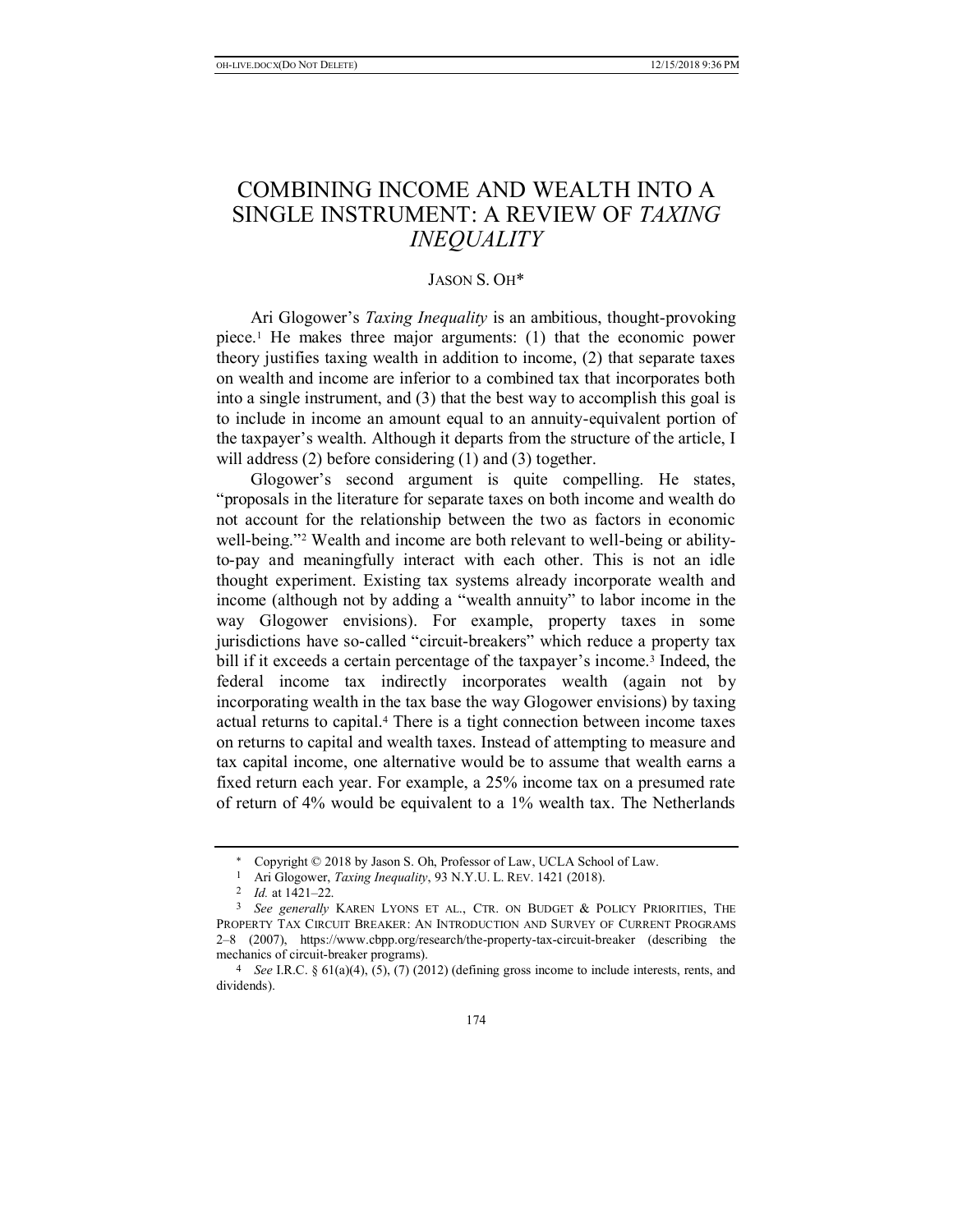## COMBINING INCOME AND WEALTH INTO A SINGLE INSTRUMENT: A REVIEW OF *TAXING INEQUALITY*

## JASON S. OH\*

Ari Glogower's *Taxing Inequality* is an ambitious, thought-provoking piece.1 He makes three major arguments: (1) that the economic power theory justifies taxing wealth in addition to income, (2) that separate taxes on wealth and income are inferior to a combined tax that incorporates both into a single instrument, and (3) that the best way to accomplish this goal is to include in income an amount equal to an annuity-equivalent portion of the taxpayer's wealth. Although it departs from the structure of the article, I will address (2) before considering (1) and (3) together.

Glogower's second argument is quite compelling. He states, "proposals in the literature for separate taxes on both income and wealth do not account for the relationship between the two as factors in economic well-being."<sup>2</sup> Wealth and income are both relevant to well-being or abilityto-pay and meaningfully interact with each other. This is not an idle thought experiment. Existing tax systems already incorporate wealth and income (although not by adding a "wealth annuity" to labor income in the way Glogower envisions). For example, property taxes in some jurisdictions have so-called "circuit-breakers" which reduce a property tax bill if it exceeds a certain percentage of the taxpayer's income.<sup>3</sup> Indeed, the federal income tax indirectly incorporates wealth (again not by incorporating wealth in the tax base the way Glogower envisions) by taxing actual returns to capital.4 There is a tight connection between income taxes on returns to capital and wealth taxes. Instead of attempting to measure and tax capital income, one alternative would be to assume that wealth earns a fixed return each year. For example, a 25% income tax on a presumed rate of return of 4% would be equivalent to a 1% wealth tax. The Netherlands

 Copyright © 2018 by Jason S. Oh, Professor of Law, UCLA School of Law.

<sup>1</sup> Ari Glogower, *Taxing Inequality*, 93 N.Y.U. L. REV. 1421 (2018).

<sup>2</sup> *Id.* at 1421–22.

<sup>3</sup> *See generally* KAREN LYONS ET AL., CTR. ON BUDGET & POLICY PRIORITIES, THE PROPERTY TAX CIRCUIT BREAKER: AN INTRODUCTION AND SURVEY OF CURRENT PROGRAMS 2–8 (2007), https://www.cbpp.org/research/the-property-tax-circuit-breaker (describing the mechanics of circuit-breaker programs).

<sup>&</sup>lt;sup>4</sup> *See I.R.C.* § 61(a)(4), (5), (7) (2012) (defining gross income to include interests, rents, and dividends).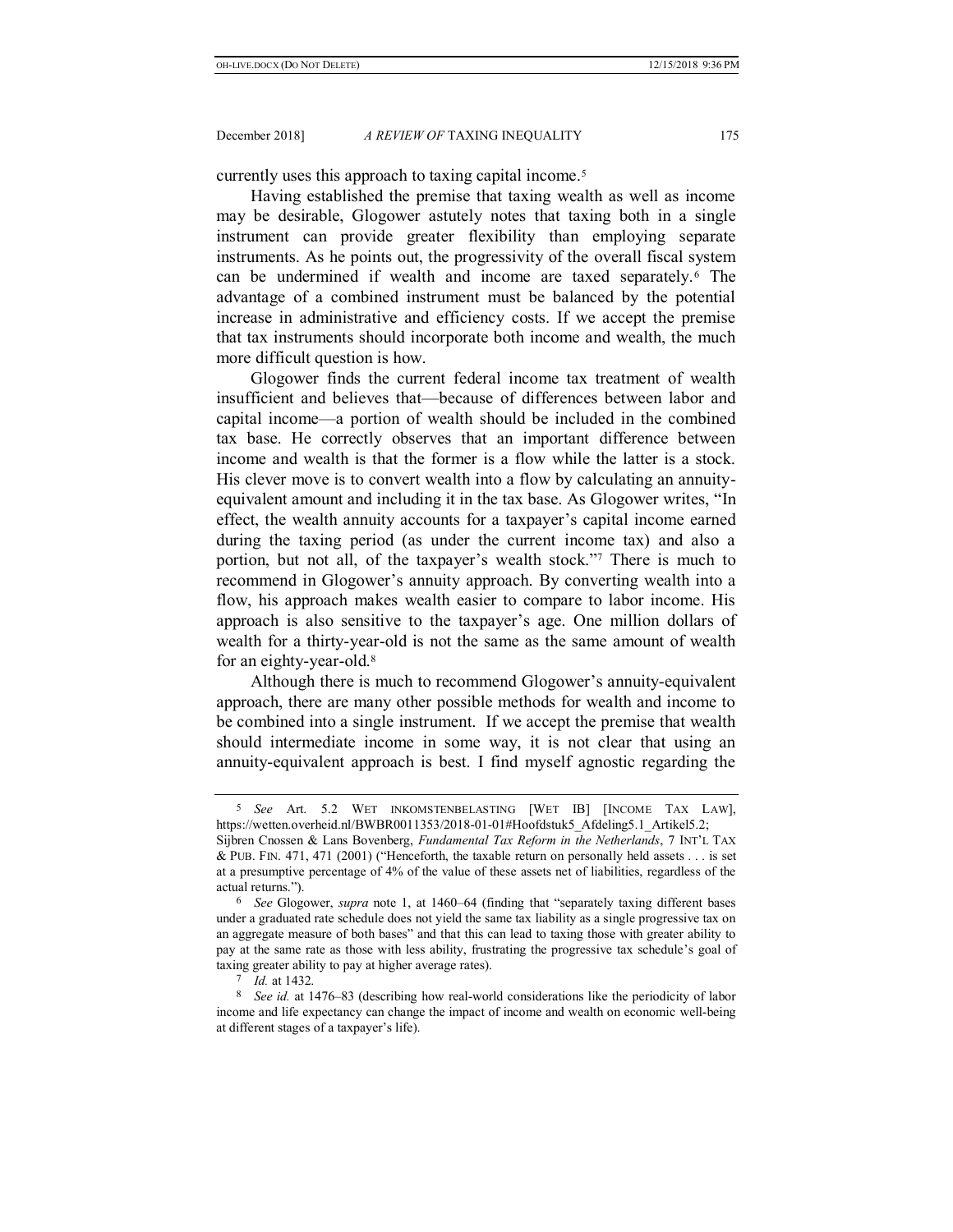currently uses this approach to taxing capital income.5

Having established the premise that taxing wealth as well as income may be desirable, Glogower astutely notes that taxing both in a single instrument can provide greater flexibility than employing separate instruments. As he points out, the progressivity of the overall fiscal system can be undermined if wealth and income are taxed separately.6 The advantage of a combined instrument must be balanced by the potential increase in administrative and efficiency costs. If we accept the premise that tax instruments should incorporate both income and wealth, the much more difficult question is how.

Glogower finds the current federal income tax treatment of wealth insufficient and believes that—because of differences between labor and capital income—a portion of wealth should be included in the combined tax base. He correctly observes that an important difference between income and wealth is that the former is a flow while the latter is a stock. His clever move is to convert wealth into a flow by calculating an annuityequivalent amount and including it in the tax base. As Glogower writes, "In effect, the wealth annuity accounts for a taxpayer's capital income earned during the taxing period (as under the current income tax) and also a portion, but not all, of the taxpayer's wealth stock."<sup>7</sup> There is much to recommend in Glogower's annuity approach. By converting wealth into a flow, his approach makes wealth easier to compare to labor income. His approach is also sensitive to the taxpayer's age. One million dollars of wealth for a thirty-year-old is not the same as the same amount of wealth for an eighty-year-old.8

Although there is much to recommend Glogower's annuity-equivalent approach, there are many other possible methods for wealth and income to be combined into a single instrument. If we accept the premise that wealth should intermediate income in some way, it is not clear that using an annuity-equivalent approach is best. I find myself agnostic regarding the

<sup>5</sup> *See* Art. 5.2 WET INKOMSTENBELASTING [WET IB] [INCOME TAX LAW], https://wetten.overheid.nl/BWBR0011353/2018-01-01#Hoofdstuk5\_Afdeling5.1\_Artikel5.2; Sijbren Cnossen & Lans Bovenberg, *Fundamental Tax Reform in the Netherlands*, 7 INT'L TAX & PUB. FIN. 471, 471 (2001) ("Henceforth, the taxable return on personally held assets . . . is set at a presumptive percentage of 4% of the value of these assets net of liabilities, regardless of the actual returns.").

<sup>6</sup> *See* Glogower, *supra* note 1, at 1460–64 (finding that "separately taxing different bases under a graduated rate schedule does not yield the same tax liability as a single progressive tax on an aggregate measure of both bases" and that this can lead to taxing those with greater ability to pay at the same rate as those with less ability, frustrating the progressive tax schedule's goal of taxing greater ability to pay at higher average rates).

<sup>7</sup> *Id.* at 1432.

<sup>8</sup> *See id.* at 1476–83 (describing how real-world considerations like the periodicity of labor income and life expectancy can change the impact of income and wealth on economic well-being at different stages of a taxpayer's life).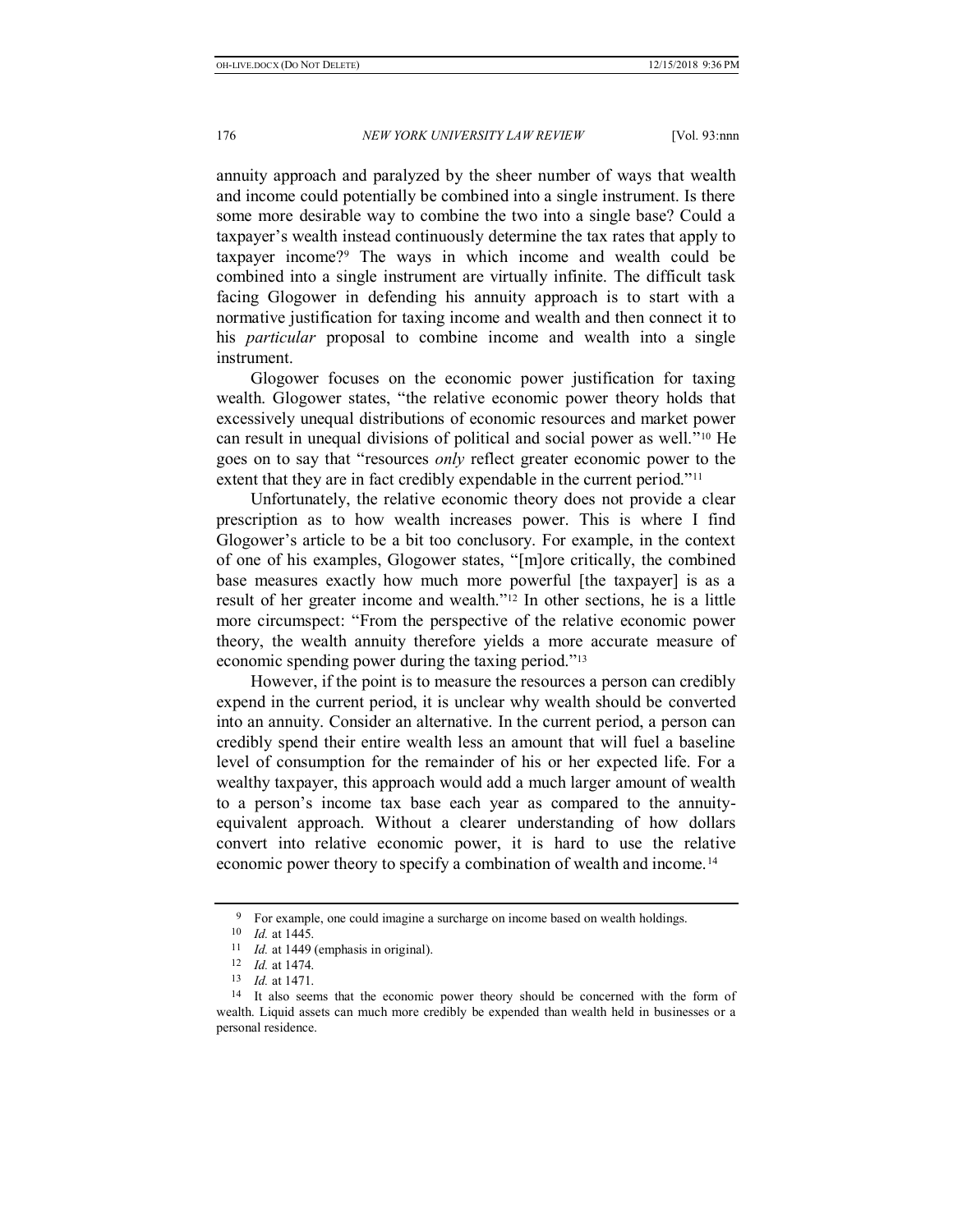annuity approach and paralyzed by the sheer number of ways that wealth and income could potentially be combined into a single instrument. Is there some more desirable way to combine the two into a single base? Could a taxpayer's wealth instead continuously determine the tax rates that apply to taxpayer income?9 The ways in which income and wealth could be combined into a single instrument are virtually infinite. The difficult task facing Glogower in defending his annuity approach is to start with a normative justification for taxing income and wealth and then connect it to his *particular* proposal to combine income and wealth into a single instrument.

Glogower focuses on the economic power justification for taxing wealth. Glogower states, "the relative economic power theory holds that excessively unequal distributions of economic resources and market power can result in unequal divisions of political and social power as well."<sup>10</sup> He goes on to say that "resources *only* reflect greater economic power to the extent that they are in fact credibly expendable in the current period."<sup>11</sup>

Unfortunately, the relative economic theory does not provide a clear prescription as to how wealth increases power. This is where I find Glogower's article to be a bit too conclusory. For example, in the context of one of his examples, Glogower states, "[m]ore critically, the combined base measures exactly how much more powerful [the taxpayer] is as a result of her greater income and wealth."<sup>12</sup> In other sections, he is a little more circumspect: "From the perspective of the relative economic power theory, the wealth annuity therefore yields a more accurate measure of economic spending power during the taxing period."<sup>13</sup>

However, if the point is to measure the resources a person can credibly expend in the current period, it is unclear why wealth should be converted into an annuity. Consider an alternative. In the current period, a person can credibly spend their entire wealth less an amount that will fuel a baseline level of consumption for the remainder of his or her expected life. For a wealthy taxpayer, this approach would add a much larger amount of wealth to a person's income tax base each year as compared to the annuityequivalent approach. Without a clearer understanding of how dollars convert into relative economic power, it is hard to use the relative economic power theory to specify a combination of wealth and income.14

<sup>9</sup> For example, one could imagine a surcharge on income based on wealth holdings.

<sup>10</sup> *Id.* at 1445.

<sup>11</sup> *Id.* at 1449 (emphasis in original).

<sup>12</sup> *Id.* at 1474.

<sup>13</sup> *Id.* at 1471.

<sup>&</sup>lt;sup>14</sup> It also seems that the economic power theory should be concerned with the form of wealth. Liquid assets can much more credibly be expended than wealth held in businesses or a personal residence.